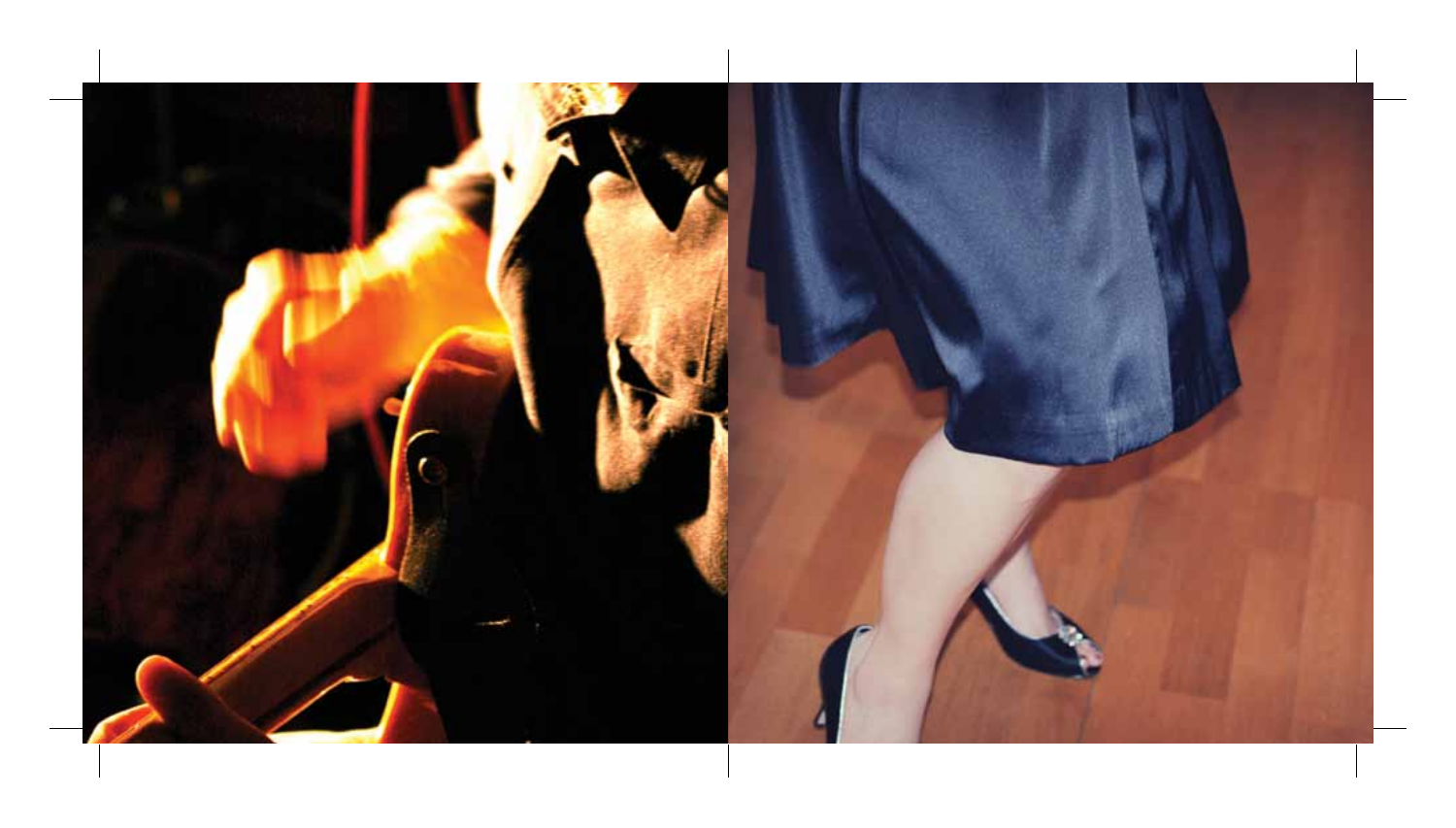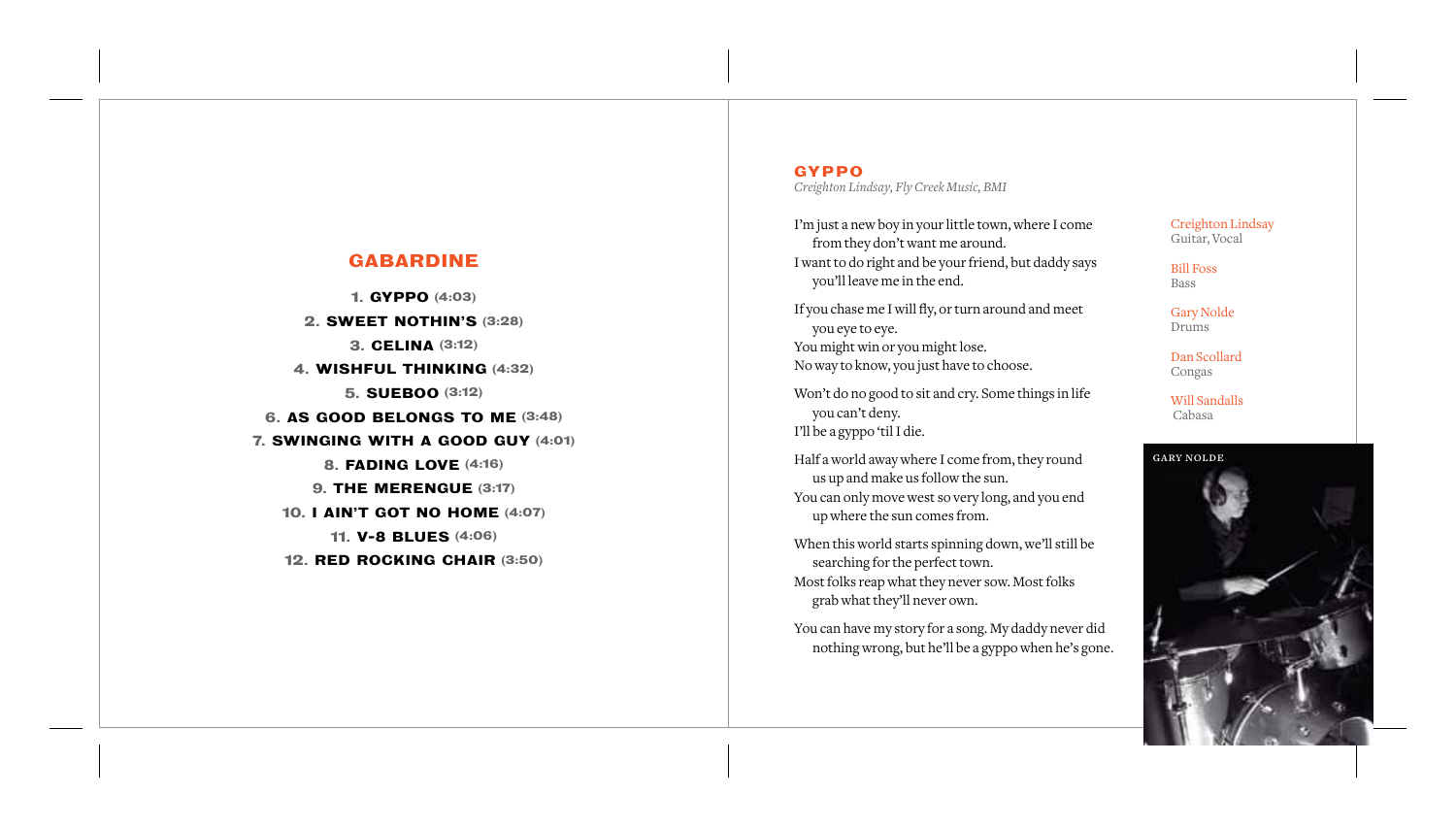# **GABARDINE**

1. Gyppo (4:03) 2. SWEET NOTHIN'S (3:28) 3. celina (3:12) 4. W ISHFU L THIN KIN G (4:32) 5. SUEBOO (3:12) 6. AS GOOD BELONGS T O M E (3:48) 7. SWIN GING W ITH A GOOD GU Y (4:01) 8. **FADING LOVE** (4:16) 9. TH E MERENGU E (3:17) 10. I AIN'T GOT NO HOME (4:07) 11. V-8 BL U E S (4:06) 12. **RED ROCKING CHAIR** (3:50)

Gyppo *Creighton Lindsay, Fly Creek Music, BMI*

I'm just a new boy in your little town, where I come from they don't want me around. I want to do right and be your friend, but daddy says you'll leave me in the end.

Creighton Lindsay Guitar, Vocal

Bill Foss Bass

Gary Nolde Drums Dan Scollard Congas

If you chase me I will fly, or turn around and meet you eye to eye. You might win or you might lose. No way to know, you just have to choose.

Won't do no good to sit and cry. Some things in life you can't deny. I'll be a gyppo 'til I die.

Half a world away where I come from, they round us up and make us follow the sun. You can only move west so very long, and you end up where the sun comes from.

When this world starts spinning down, we'll still be searching for the perfect town. Most folks reap what they never sow. Most folks grab what they'll never own.

You can have my story for a song. My daddy never did nothing wrong, but he'll be a gyppo when he's gone. Will Sandalls Cabasa

#### gary nolde

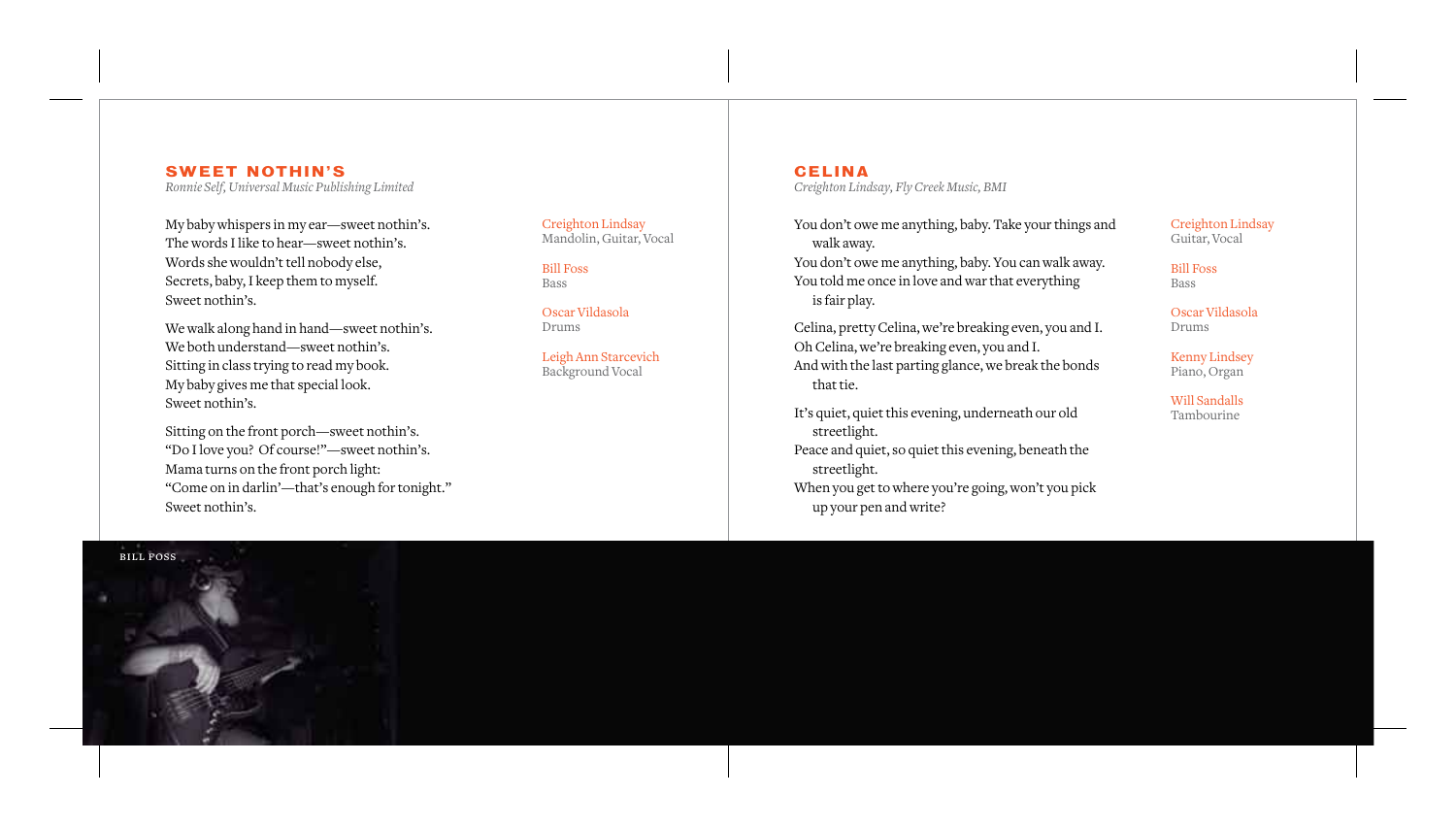#### sweet nothin's *Ronnie Self, Universal Music Publishing Limited*

My baby whispers in my ear—sweet nothin's. The words I like to hear—sweet nothin's. Words she wouldn't tell nobody else, Secrets, baby, I keep them to myself. Sweet nothin's.

We walk along hand in hand—sweet nothin's. We both understand—sweet nothin's. Sitting in class trying to read my book. My baby gives me that special look. Sweet nothin's.

Sitting on the front porch—sweet nothin's. "Do I love you? Of course!"—sweet nothin's. Mama turns on the front porch light: "Come on in darlin'—that's enough for tonight." Sweet nothin's.

Creighton Lindsay Mandolin, Guitar, Vocal

Bill Foss Bass

Oscar Vildasola Drums

Leigh Ann Starcevich Background Vocal

# celina

*Creighton Lindsay, Fly Creek Music, BMI*

You don't owe me anything, baby. Take your things and walk away.

You don't owe me anything, baby. You can walk away. You told me once in love and war that everything is fair play.

Guitar, Vocal Bill Foss Bass

Creighton Lindsay

Oscar Vildasola Drums

Kenny Lindsey

Celina, pretty Celina, we're breaking even, you and I. Oh Celina, we're breaking even, you and I. And with the last parting glance, we break the bonds that tie.

It's quiet, quiet this evening, underneath our old streetlight.

Peace and quiet, so quiet this evening, beneath the streetlight.

When you get to where you're going, won't you pick up your pen and write?

Piano, Organ Will Sandalls Tambourine

bill foss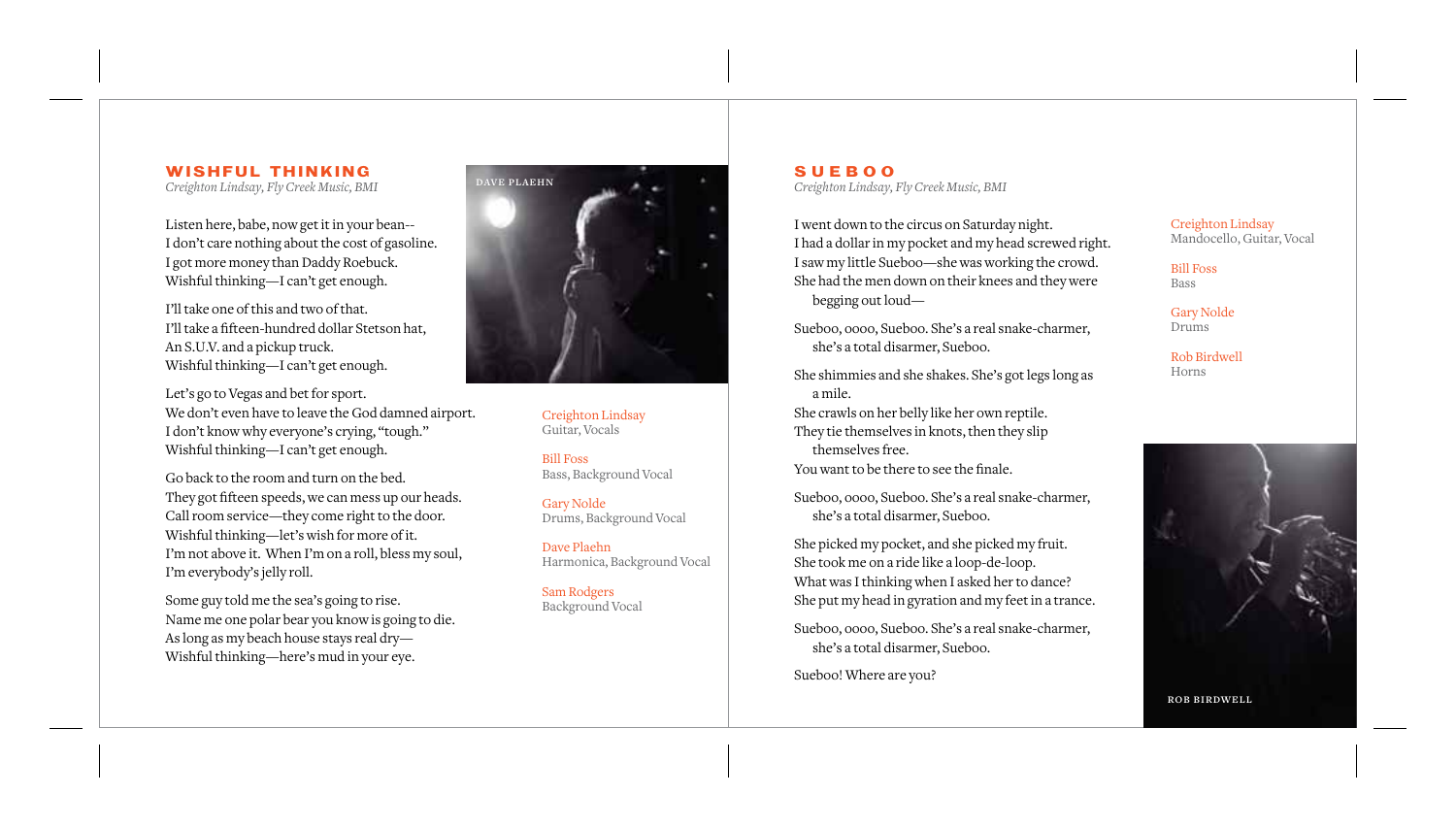# wishful thinking

**Creighton Lindsay, Fly Creek Music, BMI** DAVE PLAEHN

Listen here, babe, now get it in your bean-- I don't care nothing about the cost of gasoline. I got more money than Daddy Roebuck. Wishful thinking—I can't get enough.

I'll take one of this and two of that. I'll take a fifteen-hundred dollar Stetson hat, An S.U.V. and a pickup truck. Wishful thinking—I can't get enough.

Let's go to Vegas and bet for sport. We don't even have to leave the God damned airport. I don't know why everyone's crying, "tough." Wishful thinking—I can't get enough.

Go back to the room and turn on the bed. They got fifteen speeds, we can mess up our heads. Call room service—they come right to the door. Wishful thinking—let's wish for more of it. I'm not above it. When I'm on a roll, bless my soul, I'm everybody's jelly roll.

Some guy told me the sea's going to rise. Name me one polar bear you know is going to die. As long as my beach house stays real dry— Wishful thinking—here's mud in your eye.



Creighton Lindsay Guitar, Vocals

Bill Foss Bass, Background Vocal

Gary Nolde Drums, Background Vocal

Dave Plaehn Harmonica, Background Vocal

Sam Rodgers Background Vocal

#### **SUEBOO** *Creighton Lindsay, Fly Creek Music, BMI*

I went down to the circus on Saturday night. I had a dollar in my pocket and my head screwed right. I saw my little Sueboo—she was working the crowd. She had the men down on their knees and they were begging out loud—

Sueboo, oooo, Sueboo. She's a real snake-charmer, she's a total disarmer, Sueboo.

She shimmies and she shakes. She's got legs long as a mile.

She crawls on her belly like her own reptile. They tie themselves in knots, then they slip

themselves free.

You want to be there to see the finale.

Sueboo, oooo, Sueboo. She's a real snake-charmer, she's a total disarmer, Sueboo.

She picked my pocket, and she picked my fruit. She took me on a ride like a loop-de-loop. What was I thinking when I asked her to dance? She put my head in gyration and my feet in a trance.

Sueboo, oooo, Sueboo. She's a real snake-charmer, she's a total disarmer, Sueboo.

Sueboo! Where are you?

#### Creighton Lindsay Mandocello, Guitar, Vocal

#### Bill Foss Bass

Gary Nolde Drums

#### Rob Birdwell Horns

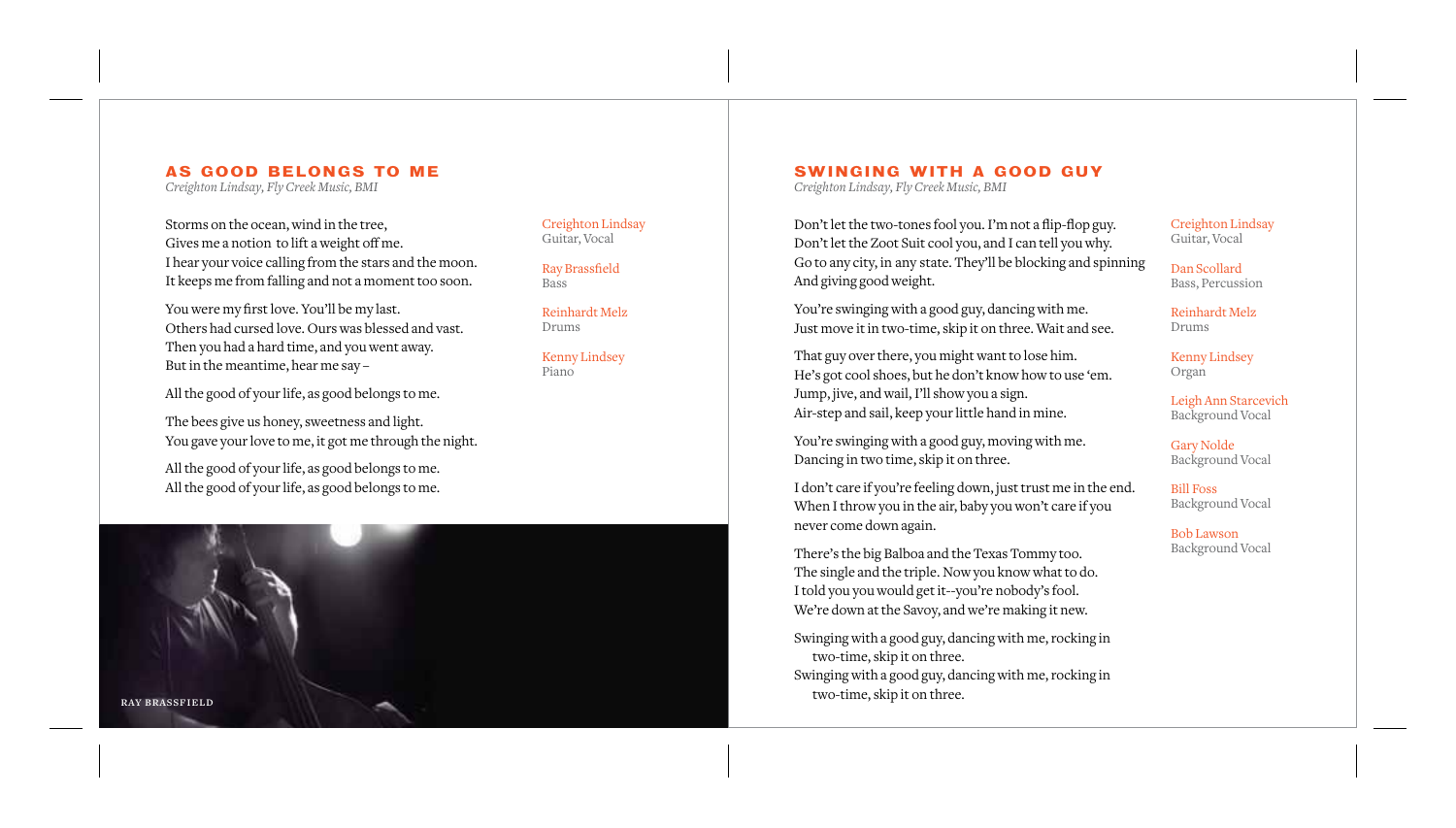# As Good Belongs to me

*Creighton Lindsay, Fly Creek Music, BMI*

Storms on the ocean, wind in the tree, Gives me a notion to lift a weight off me. I hear your voice calling from the stars and the moon. It keeps me from falling and not a moment too soon.

You were my first love. You'll be my last. Others had cursed love. Ours was blessed and vast. Then you had a hard time, and you went away. But in the meantime, hear me say –

All the good of your life, as good belongs to me.

The bees give us honey, sweetness and light. You gave your love to me, it got me through the night.

All the good of your life, as good belongs to me. All the good of your life, as good belongs to me.



Creighton Lindsay Guitar, Vocal

Ray Brassfield Bass

Reinhardt Melz Drums

Kenny Lindsey Piano

## Swinging With a Good Guy

*Creighton Lindsay, Fly Creek Music, BMI*

Don't let the two-tones fool you. I'm not a flip-flop guy. Don't let the Zoot Suit cool you, and I can tell you why. Go to any city, in any state. They'll be blocking and spinning And giving good weight.

Creighton Lindsay Guitar, Vocal

Dan Scollard Bass, Percussion

You're swinging with a good guy, dancing with me. Just move it in two-time, skip it on three. Wait and see.

That guy over there, you might want to lose him. He's got cool shoes, but he don't know how to use 'em. Jump, jive, and wail, I'll show you a sign. Air-step and sail, keep your little hand in mine.

You're swinging with a good guy, moving with me. Dancing in two time, skip it on three.

I don't care if you're feeling down, just trust me in the end. When I throw you in the air, baby you won't care if you never come down again.

There's the big Balboa and the Texas Tommy too. The single and the triple. Now you know what to do. I told you you would get it--you're nobody's fool. We're down at the Savoy, and we're making it new.

Swinging with a good guy, dancing with me, rocking in two-time, skip it on three.

Swinging with a good guy, dancing with me, rocking in two-time, skip it on three.

Reinhardt Melz Drums

Kenny Lindsey Organ

Leigh Ann Starcevich Background Vocal

Gary Nolde Background Vocal

Bill Foss Background Vocal

Bob Lawson Background Vocal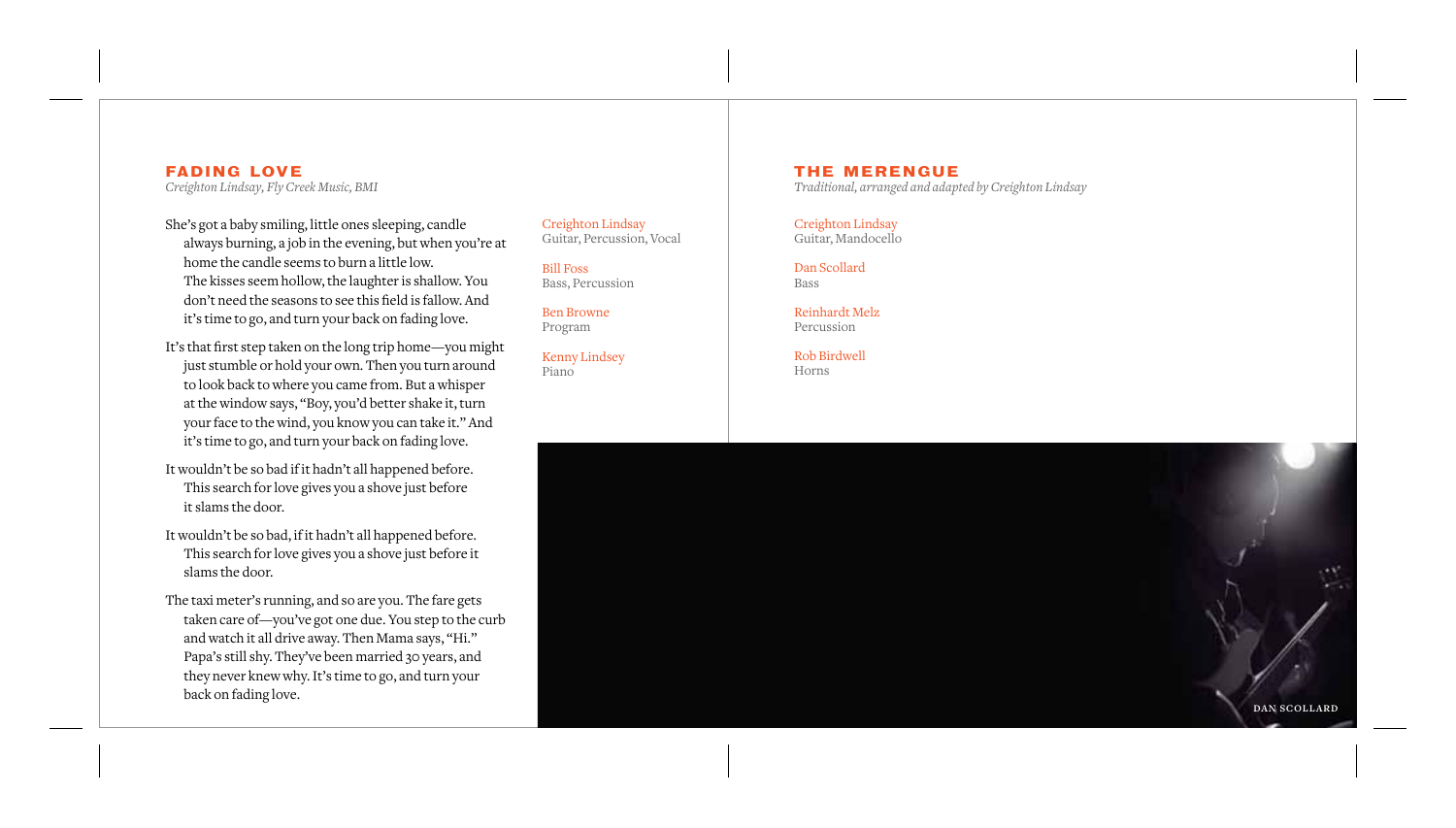#### FADING LO V E *Creighton Lindsay, Fly Creek Music, BMI*

- She's got a baby smiling, little ones sleeping, candle always burning, a job in the evening, but when you're at home the candle seems to burn a little low. The kisses seem hollow, the laughter is shallow. You don't need the seasons to see this field is fallow. And it's time to go, and turn your back on fading love.
- It's that first step taken on the long trip home—you might just stumble or hold your own. Then you turn around to look back to where you came from. But a whisper at the window says, "Boy, you'd better shake it, turn your face to the wind, you know you can take it." And it's time to go, and turn your back on fading love.

It wouldn't be so bad if it hadn't all happened before. This search for love gives you a shove just before it slams the door.

- It wouldn't be so bad, if it hadn't all happened before. This search for love gives you a shove just before it slams the door.
- The taxi meter's running, and so are you. The fare gets taken care of—you've got one due. You step to the curb and watch it all drive away. Then Mama says, "Hi." Papa's still shy. They've been married 30 years, and they never knew why. It's time to go, and turn your back on fading love.

Creighton Lindsay Guitar, Percussion, Vocal

Bill Foss Bass, Percussion

Ben Browne Program

Kenny Lindsey Piano

# THE MEREN<br>Traditional, arranged a<br>Creighton Lindsay<br>Guitar, Mandocello<br>Dan Scollard<br>Bass<br>Reinhardt Melz<br>Percussion<br>Rob Birdwell<br>Horns THE MERENGUE *Traditional, arranged and adapted by Creighton Lindsay*

Creighton Lindsay Guitar, Mandocello

Dan Scollard Bass

Reinhardt Melz Percussion

Rob Birdwell

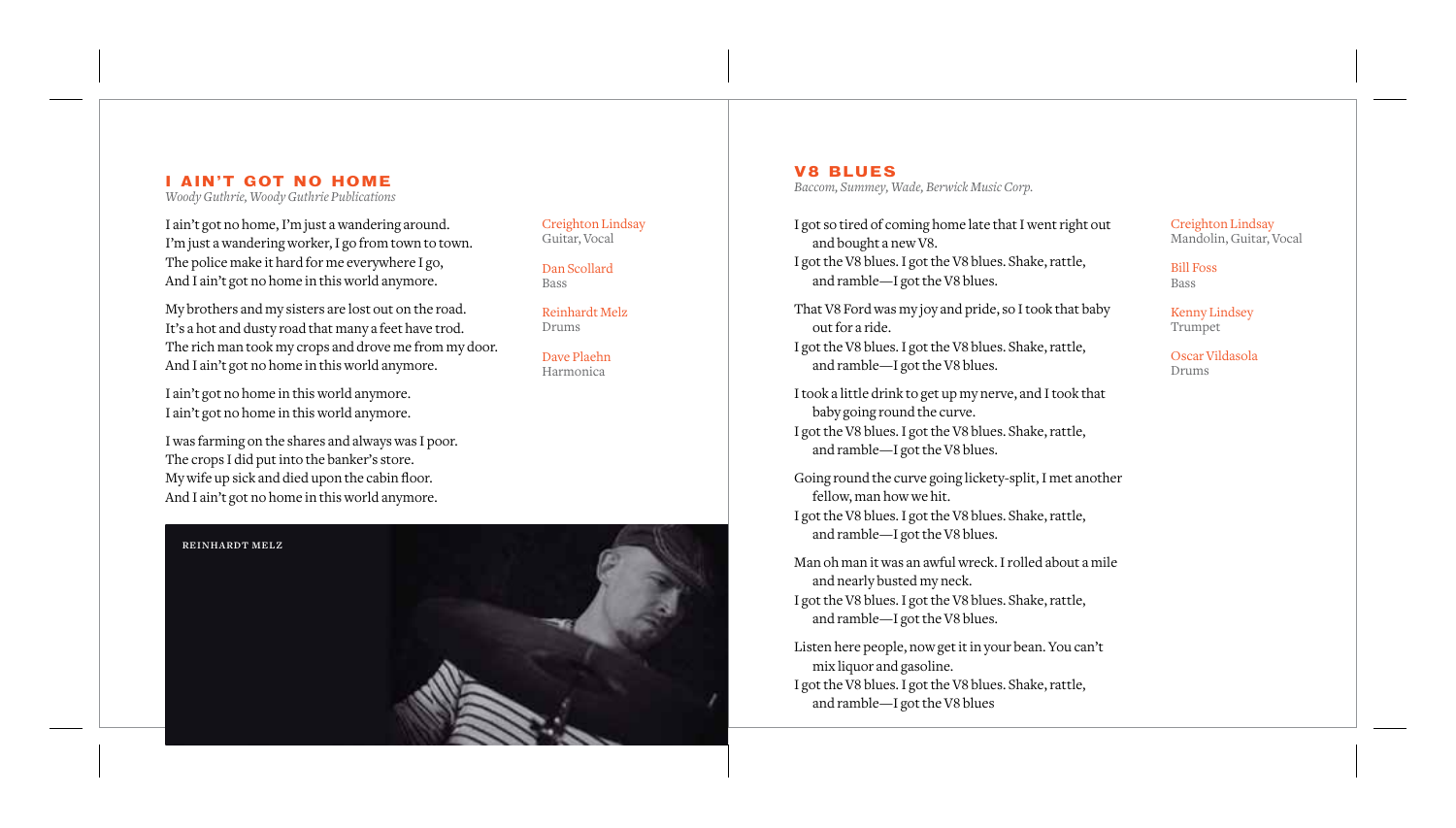# I AIN'T GOT NO HOME

*Woody Guthrie, Woody Guthrie Publications*

I ain't got no home, I'm just a wandering around. I'm just a wandering worker, I go from town to town. The police make it hard for me everywhere I go, And I ain't got no home in this world anymore.

My brothers and my sisters are lost out on the road. It's a hot and dusty road that many a feet have trod. The rich man took my crops and drove me from my door. And I ain't got no home in this world anymore.

I ain't got no home in this world anymore. I ain't got no home in this world anymore.

I was farming on the shares and always was I poor. The crops I did put into the banker's store. My wife up sick and died upon the cabin floor. And I ain't got no home in this world anymore.



Creighton Lindsay Guitar, Vocal

Dan Scollard Bass

Reinhardt Melz Drums

Dave Plaehn Harmonica

## v8 blues

*Baccom, Summey, Wade, Berwick Music Corp.*

I got so tired of coming home late that I went right out and bought a new V8. I got the V8 blues. I got the V8 blues. Shake, rattle, and ramble—I got the V8 blues.

Creighton Lindsay Mandolin, Guitar, Vocal

Kenny Lindsey Trumpet

Bill Foss Bass

Oscar Vildasola Drums

That V8 Ford was my joy and pride, so I took that baby out for a ride. I got the V8 blues. I got the V8 blues. Shake, rattle, and ramble—I got the V8 blues.

I took a little drink to get up my nerve, and I took that baby going round the curve. I got the V8 blues. I got the V8 blues. Shake, rattle, and ramble—I got the V8 blues.

Going round the curve going lickety-split, I met another fellow, man how we hit. I got the V8 blues. I got the V8 blues. Shake, rattle, and ramble—I got the V8 blues.

Man oh man it was an awful wreck. I rolled about a mile and nearly busted my neck. I got the V8 blues. I got the V8 blues. Shake, rattle, and ramble—I got the V8 blues.

Listen here people, now get it in your bean. You can't mix liquor and gasoline. I got the V8 blues. I got the V8 blues. Shake, rattle, and ramble—I got the V8 blues